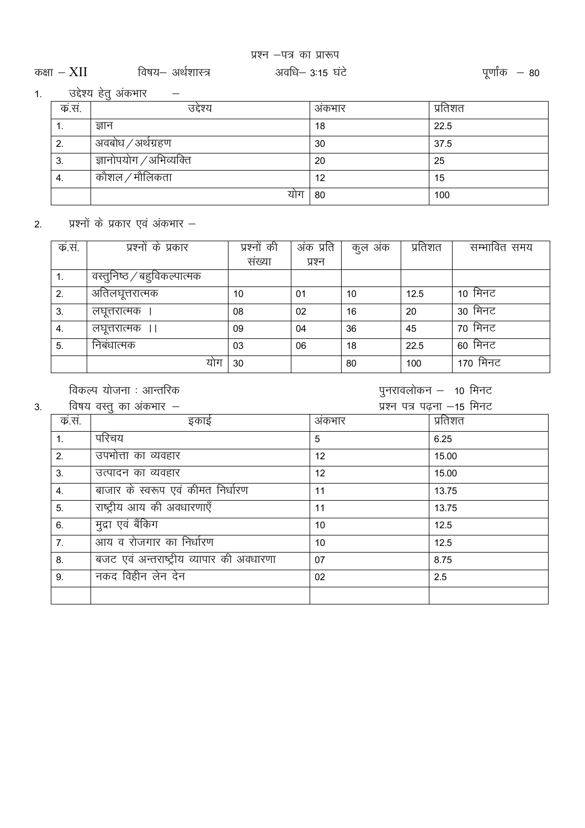### प्रश्न –पत्र का प्रारूप

#### कक्षा – XII विषय– अर्थशास्त्र विषय अवधि– 3:15 घंटे

पूर्णांक — 80

1. <u>उद्देश्य</u> हेतु अंकभार –

| क्र.सं. | उद्देश्य                              | अंकभार | प्रतिशत |
|---------|---------------------------------------|--------|---------|
| . .     | ज्ञान                                 | 18     | 22.5    |
| 2.      | अवबोध / अर्थग्रहण                     | 30     | 37.5    |
| 3.      | ज्ञानोपयोग $\sqrt{3}$ भिव्यक्ति       | 20     | 25      |
| 4.      | कौशल $\overline{\mathcal{M}}$ मौलिकता | 12     | 15      |
|         | योग                                   | 80     | 100     |

2. प्रश्नों के प्रकार एवं अंकभार  $-$ 

| क सं. | प्रश्नों के प्रकार          | प्रश्नों की | अंक प्रति | कुल अंक | प्रतिशत | सम्भावित समय |
|-------|-----------------------------|-------------|-----------|---------|---------|--------------|
|       |                             | संख्या      | प्रश्न    |         |         |              |
| 1.    | वस्तुनिष्ठ / बहुविकल्पात्मक |             |           |         |         |              |
| 2.    | अतिलघूत्तरात्मक             | 10          | 01        | 10      | 12.5    | 10 मिनट      |
| 3.    | लघूत्तरात्मक                | 08          | 02        | 16      | 20      | 30 मिनट      |
| 4.    | लघूत्तरात्मक<br>$\perp$     | 09          | 04        | 36      | 45      | 70 मिनट      |
| 5.    | निबंधात्मक                  | 03          | 06        | 18      | 22.5    | 60 मिनट      |
|       | योग                         | 30          |           | 80      | 100     | 170 मिनट     |

विकल्प योजना : आन्तरिक

पुनरावलोकन – 10 मिनट

|       | विषय वस्तु का अंकभार –                   | प्रश्न पत्र पढ़ना -15 मिनट |         |  |  |  |
|-------|------------------------------------------|----------------------------|---------|--|--|--|
| क.सं. | इकाई                                     | अंकभार                     | प्रतिशत |  |  |  |
| 1.    | परिचय                                    | 5                          | 6.25    |  |  |  |
| 2.    | उपभोत्ता का व्यवहार                      | 12                         | 15.00   |  |  |  |
| 3.    | उत्पादन का व्यवहार                       | 12                         | 15.00   |  |  |  |
| 4.    | बाजार के स्वरूप एवं कीमत निर्धारण        | 11                         | 13.75   |  |  |  |
| 5.    | राष्ट्रीय आय की अवधारणाएँ                | 11                         | 13.75   |  |  |  |
| 6.    | मुद्रा एवं बैंकिग                        | 10                         | 12.5    |  |  |  |
| 7.    | आय व रोजगार का निर्धारण                  | 10                         | 12.5    |  |  |  |
| 8.    | बजट एवं अन्तराष्ट्रीय व्यापार की अवधारणा | 07                         | 8.75    |  |  |  |
| 9.    | नकद विहीन लेन देन                        | 02                         | 2.5     |  |  |  |
|       |                                          |                            |         |  |  |  |

 $3.$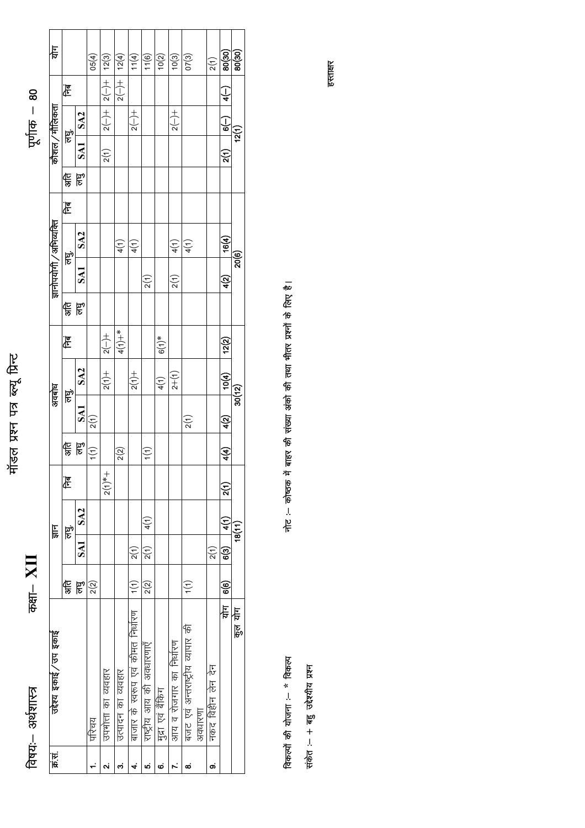|        | विषय: - अर्थशास्त्र                         | $\frac{1}{2}$             |                     |                 |                       |                    |            |                  |               |        |      |                            |    |     |      | पूर्णाक $-80$   |                    |                                          |
|--------|---------------------------------------------|---------------------------|---------------------|-----------------|-----------------------|--------------------|------------|------------------|---------------|--------|------|----------------------------|----|-----|------|-----------------|--------------------|------------------------------------------|
| क्रमं. | उद्देश्य इकाई/उप इकाई                       |                           |                     | जान्            |                       |                    |            | अवबोध            |               |        |      | ज्ञानोपर्याणे / अभिव्यक्ति |    |     |      | कौशल/मौलिकता    |                    | 传                                        |
|        |                                             | क्ष                       |                     | हूं             | निब                   | क्ष<br>तक्ष        |            | हाँ              | हि            | l<br>徐 |      | हें<br>ह                   | हि | अति | हाँ  |                 | निब                |                                          |
|        |                                             | हृ                        | SA1                 | SA <sub>2</sub> |                       |                    | <b>SA1</b> | SA <sub>2</sub>  |               | ह्य    |      | SA1 SA2                    |    | हूँ | SA1  | SA <sub>2</sub> |                    |                                          |
|        | परिचय                                       | 2(2)                      |                     |                 |                       | $\frac{1}{1(1)}$   | 2(1)       |                  |               |        |      |                            |    |     |      |                 |                    | 05(4)                                    |
| N      | उपभांता का व्यवहार                          |                           |                     |                 | $2(1)$ <sup>*</sup> + |                    |            | $\frac{1}{2}$    | $\frac{+}{2}$ |        |      |                            |    |     | 2(1) | $\frac{1}{2}$   | $2(-)$ +           | 12(3)                                    |
| ო      | उत्पादन का व्यवहार                          |                           |                     |                 |                       | 2(2)               |            |                  | $+4(1)+$      |        |      | 4(1)                       |    |     |      |                 | $\frac{1}{2(-)+1}$ | 12(4)                                    |
| 4      | बाजार के स्वरूप एवं कीमत निर्धारण           | $\widetilde{\mathcal{L}}$ | $\widehat{z}^{(1)}$ |                 |                       |                    |            | $\frac{1}{2}$    |               |        |      | 4(1)                       |    |     |      | $\frac{+}{2}$   |                    | $\frac{1}{\sqrt{16}}\frac{1}{\sqrt{16}}$ |
| ıo,    | राष्ट्रीय आय की अवधारणाएँ                   | 2(2)                      | 2(1)                | 4(1)            |                       | $\widetilde{1(1)}$ |            |                  |               |        | 2(1) |                            |    |     |      |                 |                    |                                          |
| စ      | मुद्रा एवं बैंकिंग                          |                           |                     |                 |                       |                    |            | $\frac{1}{4(1)}$ | $6(1)*$       |        |      |                            |    |     |      |                 |                    |                                          |
|        | आय व रोजगार का निर्धारण                     |                           |                     |                 |                       |                    |            | $2 + (1)$        |               |        | 2(1) | 4(1)                       |    |     |      | $\frac{+}{2}$   |                    | 10(3)                                    |
| စ      | बजट एवं अन्तराष्ट्रीय व्यापार की<br>अवधारणा | $\widetilde{\mathcal{L}}$ |                     |                 |                       |                    | 2(1)       |                  |               |        |      | (1)                        |    |     |      |                 |                    | $\frac{1}{07(3)}$                        |
| တ      | नकद विहीन लेन देन                           |                           | 2(1)                |                 |                       |                    |            |                  |               |        |      |                            |    |     |      |                 |                    | 2(1)                                     |

मॉडल प्रश्न पत्र ब्ल्यू प्रिन्ट

信

नोट :-- कोष्ठक में बाहर की संख्या अंको की तथा भीतर प्रश्नों के लिए है।

संकेत :- + बहु उद्देश्यीय प्रश्न

विकल्पों की योजना :-- \* विकल्प

हस्ताक्षर

 $\frac{2(1)}{80(30)}$ 

 $\overline{4(-)}$ 

 $\overline{6}$ 

 $2(1)$ 

 $16(4)$  $20(6)$ 

 $\sqrt{4(2)}$ 

 $12(2)$ 

 $\frac{10(4)}{30(12)}$ 

 $\overline{4(2)}$ 

 $\overline{4(4)}$ 

 $2(1)$ 

 $\frac{1}{18(1)}$ 

<u>कु</u>ल योग <mark>6(6)</mark><br>कुल योग

 $\frac{2(1)}{6(3)}$ 

 $\ddot{\bullet}$ 

 $12(1)$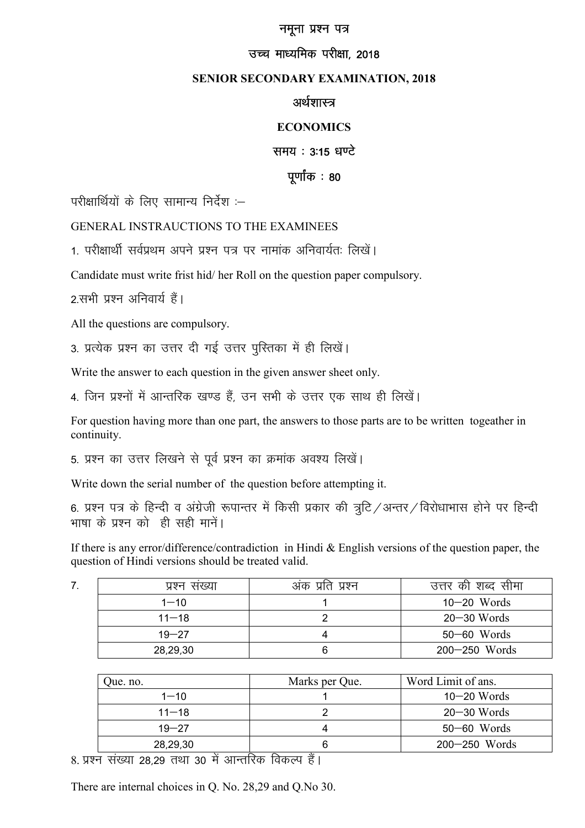#### नमुना प्रश्न पत्र

#### उच्च माध्यमिक परीक्षा, 2018

#### **SENIOR SECONDARY EXAMINATION, 2018**

#### अर्थशास्त्र

#### **ECONOMICS**

#### समय :  $3:15$  धण्टे

### पूर्णांक $: 80$

परीक्षार्थियों के लिए सामान्य निर्देश :-

GENERAL INSTRAUCTIONS TO THE EXAMINEES

1. परीक्षार्थी सर्वप्रथम अपने प्रश्न पत्र पर नामांक अनिवार्यतः लिखें।

Candidate must write frist hid/ her Roll on the question paper compulsory.

2.सभी प्रश्न अनिवार्य हैं।

7-

All the questions are compulsory.

3. प्रत्येक प्रश्न का उत्तर दी गई उत्तर पुस्तिका में ही लिखें।

Write the answer to each question in the given answer sheet only.

4. जिन प्रश्नों में आन्तरिक खण्ड हैं, उन सभी के उत्तर एक साथ ही लिखें।

For question having more than one part, the answers to those parts are to be written togeather in continuity.

5. प्रश्न का उत्तर लिखने से पूर्व प्रश्न का क्रमांक अवश्य लिखें।

Write down the serial number of the question before attempting it.

6. प्रश्न पत्र के हिन्दी व अंग्रेजी रूपान्तर में किसी प्रकार की त्रूटि /अन्तर / विरोधाभास होने पर हिन्दी भाषा के प्रश्न को ही सही मानें।

If there is any error/difference/contradiction in Hindi & English versions of the question paper, the question of Hindi versions should be treated valid.

| प्रश्न संख्या | अक प्रति प्रश्न | उत्तर की शब्द सीमा |
|---------------|-----------------|--------------------|
| $1 - 10$      |                 | $10-20$ Words      |
| $11 - 18$     |                 | $20 - 30$ Words    |
| $19 - 27$     |                 | $50 - 60$ Words    |
| 28,29,30      |                 | $200 - 250$ Words  |

| Que. no.  | Marks per Que. | Word Limit of ans. |
|-----------|----------------|--------------------|
| $1 - 10$  |                | $10 - 20$ Words    |
| $11 - 18$ |                | $20 - 30$ Words    |
| $19 - 27$ |                | $50 - 60$ Words    |
| 28,29,30  |                | $200 - 250$ Words  |

8. प्रश्न संख्या 28.29 तथा 30 में आन्तरिक विकल्प हैं।

There are internal choices in Q. No. 28,29 and Q.No 30.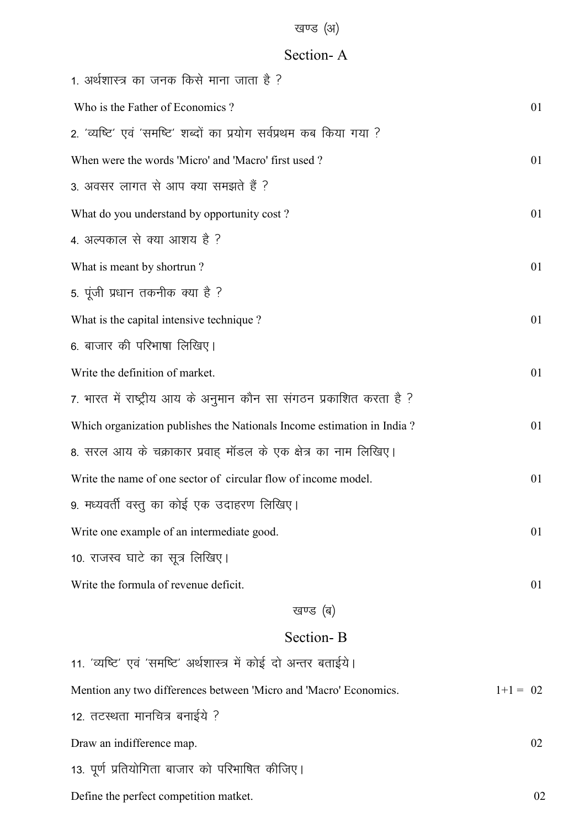## Section- A

| 1. अर्थशास्त्र का जनक किसे माना जाता है ?                              |            |
|------------------------------------------------------------------------|------------|
| Who is the Father of Economics?                                        | 01         |
| 2. 'व्यष्टि' एवं 'समष्टि' शब्दों का प्रयोग सर्वप्रथम कब किया गया ?     |            |
| When were the words 'Micro' and 'Macro' first used?                    | 01         |
| 3. अवसर लागत से आप क्या समझते हैं ?                                    |            |
| What do you understand by opportunity cost?                            | 01         |
| 4. अल्पकाल से क्या आशय है ?                                            |            |
| What is meant by shortrun?                                             | 01         |
| 5. पूंजी प्रधान तकनीक क्या है ?                                        |            |
| What is the capital intensive technique?                               | 01         |
| 6. बाजार की परिभाषा लिखिए।                                             |            |
| Write the definition of market.                                        | 01         |
| 7. भारत में राष्ट्रीय आय के अनुमान कौन सा संगठन प्रकाशित करता है ?     |            |
| Which organization publishes the Nationals Income estimation in India? | 01         |
| 8. सरल आय के चक्राकार प्रवाह मॉडल के एक क्षेत्र का नाम लिखिए।          |            |
| Write the name of one sector of circular flow of income model.         | 01         |
| 9. मध्यवर्ती वस्तु का कोई एक उदाहरण लिखिए।                             |            |
| Write one example of an intermediate good.                             | 01         |
| 10. राजस्व घाटे का सूत्र लिखिए।                                        |            |
| Write the formula of revenue deficit.                                  | 01         |
| खण्ड (ब)                                                               |            |
| Section-B                                                              |            |
| 11. 'व्यष्टि' एवं 'समष्टि' अर्थशास्त्र में कोई दो अन्तर बताईये।        |            |
| Mention any two differences between 'Micro and 'Macro' Economics.      | $1+1 = 02$ |
| 12. तटस्थता मानचित्र बनाईये ?                                          |            |
| Draw an indifference map.                                              | 02         |
| 13. पूर्ण प्रतियोगिता बाजार को परिभाषित कीजिए।                         |            |
| Define the perfect competition matket.                                 | 02         |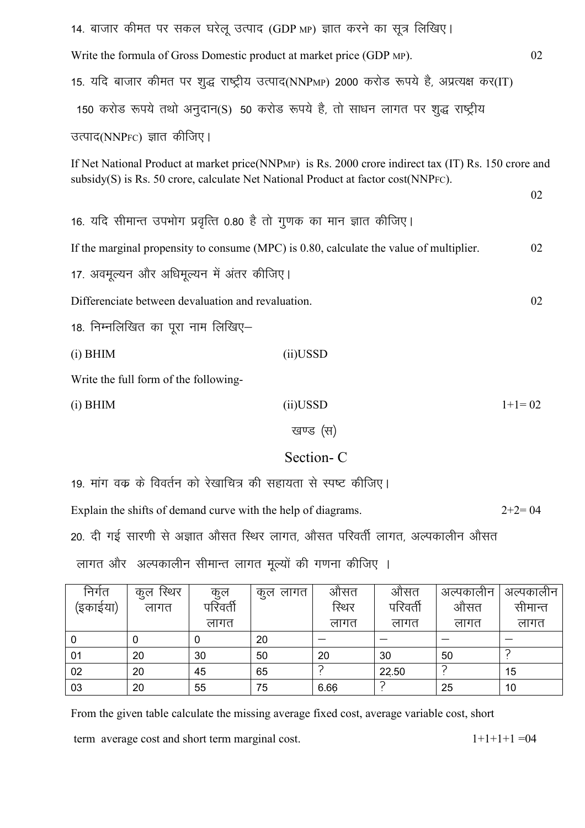|                                                                                           |                                                                                |                                                               |             | 14. बाजार कीमत पर सकल घरेलू उत्पाद (GDP MP) ज्ञात करने का सूत्र लिखिए।                  |                  |                                                                                                      |                 |  |
|-------------------------------------------------------------------------------------------|--------------------------------------------------------------------------------|---------------------------------------------------------------|-------------|-----------------------------------------------------------------------------------------|------------------|------------------------------------------------------------------------------------------------------|-----------------|--|
|                                                                                           |                                                                                |                                                               |             | Write the formula of Gross Domestic product at market price (GDP MP).                   |                  |                                                                                                      | 02              |  |
| 15. यदि बाजार कीमत पर शुद्ध राष्ट्रीय उत्पाद(NNPMP) 2000 करोड रूपये है, अप्रत्यक्ष कर(IT) |                                                                                |                                                               |             |                                                                                         |                  |                                                                                                      |                 |  |
|                                                                                           | 150 करोड रूपये तथो अनुदान(S) 50 करोड रूपये है, तो साधन लागत पर शुद्ध राष्ट्रीय |                                                               |             |                                                                                         |                  |                                                                                                      |                 |  |
|                                                                                           | उत्पाद(NNPFC) ज्ञात कीजिए।                                                     |                                                               |             |                                                                                         |                  |                                                                                                      |                 |  |
|                                                                                           |                                                                                |                                                               |             |                                                                                         |                  | If Net National Product at market price(NNPMP) is Rs. 2000 crore indirect tax (IT) Rs. 150 crore and |                 |  |
|                                                                                           |                                                                                |                                                               |             | subsidy(S) is Rs. 50 crore, calculate Net National Product at factor cost(NNPFC).       |                  |                                                                                                      | 02              |  |
|                                                                                           |                                                                                |                                                               |             | 16. यदि सीमान्त उपभोग प्रवृत्ति 0.80 है तो गुणक का मान ज्ञात कीजिए।                     |                  |                                                                                                      |                 |  |
|                                                                                           |                                                                                |                                                               |             | If the marginal propensity to consume (MPC) is 0.80, calculate the value of multiplier. |                  |                                                                                                      | 02              |  |
|                                                                                           |                                                                                | 17. अवमूल्यन और अधिमूल्यन में अंतर कीजिए।                     |             |                                                                                         |                  |                                                                                                      |                 |  |
|                                                                                           |                                                                                | Differenciate between devaluation and revaluation.            |             |                                                                                         |                  |                                                                                                      | 02              |  |
|                                                                                           |                                                                                | 18. निम्नलिखित का पूरा नाम लिखिए–                             |             |                                                                                         |                  |                                                                                                      |                 |  |
| $(i)$ BHIM                                                                                |                                                                                |                                                               | $(ii)$ USSD |                                                                                         |                  |                                                                                                      |                 |  |
|                                                                                           | Write the full form of the following-                                          |                                                               |             |                                                                                         |                  |                                                                                                      |                 |  |
| $(i)$ BHIM                                                                                |                                                                                |                                                               | (ii)USSD    |                                                                                         |                  |                                                                                                      | $1+1=02$        |  |
|                                                                                           |                                                                                |                                                               |             | खण्ड (स)                                                                                |                  |                                                                                                      |                 |  |
|                                                                                           |                                                                                |                                                               |             | Section-C                                                                               |                  |                                                                                                      |                 |  |
|                                                                                           |                                                                                |                                                               |             | 19. मांग वक्र के विवर्तन को रेखाचित्र की सहायता से स्पष्ट कीजिए।                        |                  |                                                                                                      |                 |  |
|                                                                                           |                                                                                | Explain the shifts of demand curve with the help of diagrams. |             |                                                                                         |                  |                                                                                                      | $2+2=04$        |  |
|                                                                                           | 20. दी गई सारणी से अज्ञात औसत स्थिर लागत, औसत परिवर्ती लागत, अल्पकालीन औसत     |                                                               |             |                                                                                         |                  |                                                                                                      |                 |  |
|                                                                                           |                                                                                |                                                               |             | लागत और  अल्पकालीन सीमान्त लागत मूल्यों की गणना कीजिए ।                                 |                  |                                                                                                      |                 |  |
| निर्गत                                                                                    | कुल स्थिर                                                                      | कुल                                                           | कुल लागत    | औसत                                                                                     | औसत              | अल्पकालीन                                                                                            | अल्पकालीन       |  |
| (इकाईया)                                                                                  | लागत                                                                           | परिवर्ती<br>लागत                                              |             | रिथर<br>लागत                                                                            | परिवर्ती<br>लागत | औसत<br>लागत                                                                                          | सीमान्त<br>लागत |  |
| $\boldsymbol{0}$                                                                          | $\boldsymbol{0}$                                                               | $\mathbf 0$                                                   | 20          |                                                                                         |                  |                                                                                                      |                 |  |

01 20 30 50 20 30 50  $\frac{1}{2}$ 02 20 45 65 \ 22-+50 \ 15 03 20 55 75 6.66  $\overline{\hspace{0.5cm}}$  6.66  $\overline{\hspace{0.5cm}}$  25 10

From the given table calculate the missing average fixed cost, average variable cost, short

term average cost and short term marginal cost.  $1+1+1+1 = 04$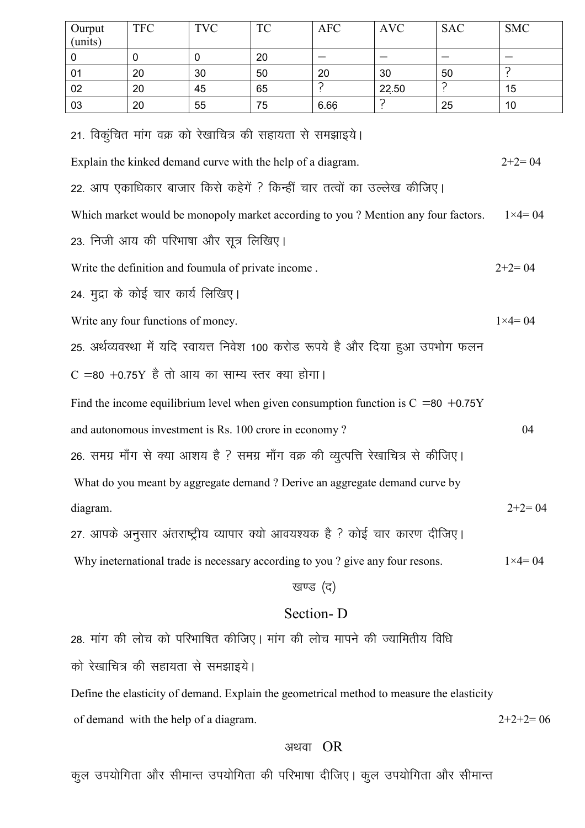| Ourput<br>(units)                                                                 | <b>TFC</b>                                                | <b>TVC</b>                                                                                | <b>TC</b> | <b>AFC</b>               | <b>AVC</b> | <b>SAC</b>               | <b>SMC</b>        |  |
|-----------------------------------------------------------------------------------|-----------------------------------------------------------|-------------------------------------------------------------------------------------------|-----------|--------------------------|------------|--------------------------|-------------------|--|
| $\mathbf 0$                                                                       | $\mathbf 0$                                               | $\mathbf 0$                                                                               | 20        | $\overline{\phantom{0}}$ |            | $\overline{\phantom{0}}$ |                   |  |
| 01                                                                                | 20                                                        | 30                                                                                        | 50        | 20                       | 30         | 50                       | $\mathcal{P}$     |  |
| 02                                                                                | 20                                                        | 45                                                                                        | 65        | ?                        | 22.50<br>? | ?                        | 15                |  |
| 03                                                                                | 10                                                        |                                                                                           |           |                          |            |                          |                   |  |
|                                                                                   | 21. विकुंचित मांग वक्र को रेखाचित्र की सहायता से समझाइये। |                                                                                           |           |                          |            |                          |                   |  |
| Explain the kinked demand curve with the help of a diagram.                       |                                                           |                                                                                           |           |                          |            |                          |                   |  |
| 22. आप एकाधिकार बाजार किसे कहेगें ? किन्हीं चार तत्वों का उल्लेख कीजिए।           |                                                           |                                                                                           |           |                          |            |                          |                   |  |
| Which market would be monopoly market according to you? Mention any four factors. |                                                           |                                                                                           |           |                          |            |                          | $1 \times 4 = 04$ |  |
|                                                                                   |                                                           | 23. निजी आय की परिभाषा और सूत्र लिखिए।                                                    |           |                          |            |                          |                   |  |
|                                                                                   |                                                           | Write the definition and foumula of private income.                                       |           |                          |            |                          | $2+2=04$          |  |
| 24. मुद्रा के कोई चार कार्य लिखिए।                                                |                                                           |                                                                                           |           |                          |            |                          |                   |  |
| Write any four functions of money.                                                |                                                           |                                                                                           |           |                          |            |                          | $1 \times 4 = 04$ |  |
|                                                                                   |                                                           | 25. अर्थव्यवस्था में यदि स्वायत्त निवेश 100 करोड रूपये है और दिया हुआ उपभोग फलन           |           |                          |            |                          |                   |  |
|                                                                                   |                                                           | $C = 80 + 0.75Y$ है तो आय का साम्य स्तर क्या होगा।                                        |           |                          |            |                          |                   |  |
|                                                                                   |                                                           | Find the income equilibrium level when given consumption function is $C = 80 + 0.75Y$     |           |                          |            |                          |                   |  |
|                                                                                   |                                                           | and autonomous investment is Rs. 100 crore in economy?                                    |           |                          |            |                          | 04                |  |
|                                                                                   |                                                           | 26. समग्र माँग से क्या आशय है ? समग्र माँग वक्र की व्युत्पत्ति रेखाचित्र से कीजिए।        |           |                          |            |                          |                   |  |
|                                                                                   |                                                           | What do you meant by aggregate demand ? Derive an aggregate demand curve by               |           |                          |            |                          |                   |  |
| diagram.                                                                          |                                                           |                                                                                           |           |                          |            |                          | $2+2=04$          |  |
|                                                                                   |                                                           | 27. आपके अनुसार अंतराष्ट्रीय व्यापार क्यो आवयश्यक है ? कोई चार कारण दीजिए।                |           |                          |            |                          |                   |  |
|                                                                                   |                                                           | Why ineternational trade is necessary according to you? give any four resons.             |           |                          |            |                          | $1 \times 4 = 04$ |  |
|                                                                                   |                                                           |                                                                                           |           | खण्ड (द)                 |            |                          |                   |  |
|                                                                                   | Section-D                                                 |                                                                                           |           |                          |            |                          |                   |  |
|                                                                                   |                                                           | 28. मांग की लोच को परिभाषित कीजिए। मांग की लोच मापने की ज्यामितीय विधि                    |           |                          |            |                          |                   |  |
|                                                                                   |                                                           | को रेखाचित्र की सहायता से समझाइये।                                                        |           |                          |            |                          |                   |  |
|                                                                                   |                                                           | Define the elasticity of demand. Explain the geometrical method to measure the elasticity |           |                          |            |                          |                   |  |

of demand with the help of a diagram.  $2+2+2=06$ 

#### अथवा $OR$

कुल उपयोगिता और सीमान्त उपयोगिता की परिभाषा दीजिए। कुल उपयोगिता और सीमान्त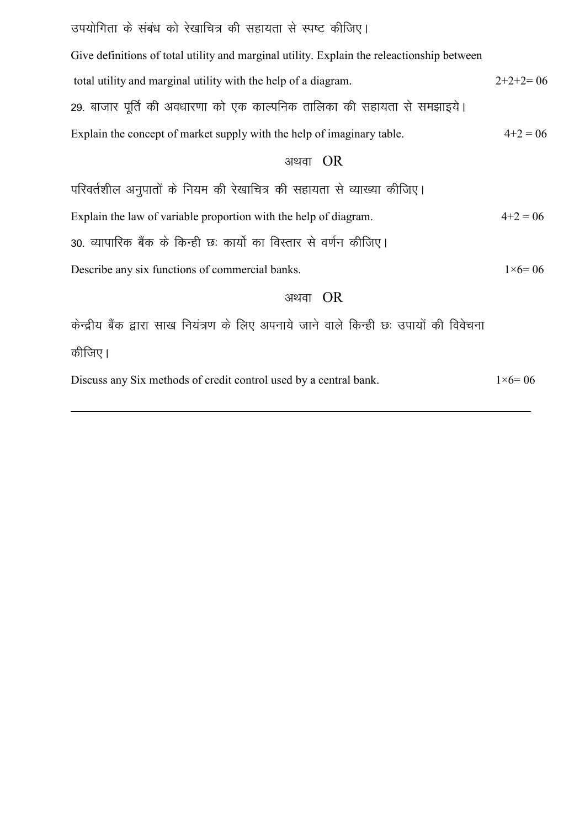| उपयोगिता के संबंध को रेखाचित्र की सहायता से स्पष्ट कीजिए।                                  |                   |
|--------------------------------------------------------------------------------------------|-------------------|
| Give definitions of total utility and marginal utility. Explain the releactionship between |                   |
| total utility and marginal utility with the help of a diagram.                             | $2+2+2=06$        |
| 29. बाजार पूर्ति की अवधारणा को एक काल्पनिक तालिका की सहायता से समझाइये।                    |                   |
| Explain the concept of market supply with the help of imaginary table.                     | $4+2=06$          |
| अथवा $OR$                                                                                  |                   |
| परिवर्तशील अनुपातों के नियम की रेखाचित्र की सहायता से व्याख्या कीजिए।                      |                   |
| Explain the law of variable proportion with the help of diagram.                           | $4+2=06$          |
| 30. व्यापारिक बैंक के किन्ही छः कार्यो का विस्तार से वर्णन कीजिए।                          |                   |
| Describe any six functions of commercial banks.                                            | $1 \times 6 = 06$ |
| अथवा $OR$                                                                                  |                   |
| केन्द्रीय बैंक द्वारा साख नियंत्रण के लिए अपनाये जाने वाले किन्ही छः उपायों की विवेचना     |                   |
| कीजिए।                                                                                     |                   |
| Discuss any Six methods of credit control used by a central bank.                          | $1 \times 6 = 06$ |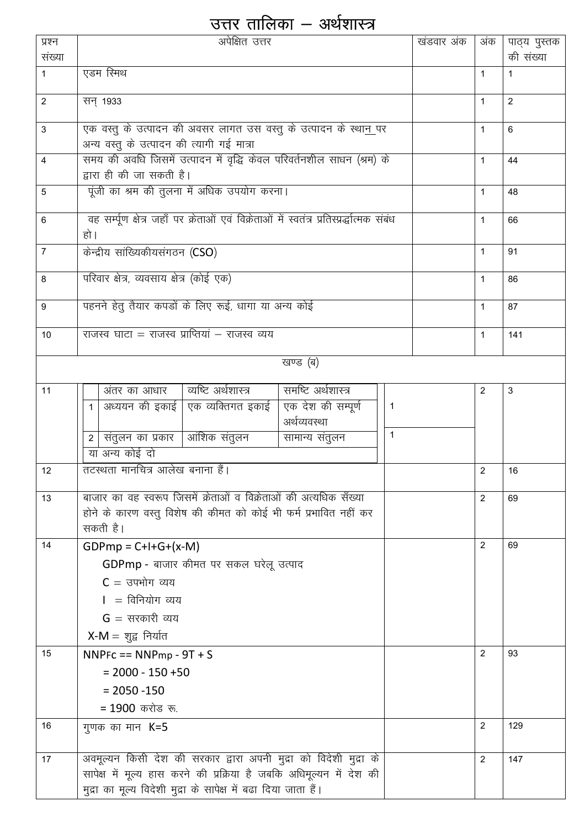# उत्तर तालिका – अर्थशास्त्र

| प्रश्न           | अपेक्षित उत्तर<br>खंडवार अंक                                                                |                     |                                    |    |  |              | पाठ्य पुस्तक   |
|------------------|---------------------------------------------------------------------------------------------|---------------------|------------------------------------|----|--|--------------|----------------|
| संख्या           |                                                                                             |                     |                                    |    |  |              | की संख्या      |
| $\mathbf{1}$     | एडम रिमथ                                                                                    |                     |                                    |    |  | $\mathbf{1}$ | $\mathbf{1}$   |
| 2                | सन् 1933                                                                                    |                     |                                    |    |  | $\mathbf{1}$ | $\overline{2}$ |
| $\mathbf{3}$     | एक वस्तु के उत्पादन की अवसर लागत उस वस्तु के उत्पादन के स्था <u>न प</u> र                   |                     |                                    |    |  | $\mathbf{1}$ | 6              |
|                  | अन्य वस्तु के उत्पादन की त्यागी गई मात्रा                                                   |                     |                                    |    |  |              |                |
| 4                | समय की अवधि जिसमें उत्पादन में वृद्धि केवल परिवर्तनशील साधन (श्रम) के                       |                     | $\mathbf{1}$                       | 44 |  |              |                |
|                  | द्वारा ही की जा सकती है।                                                                    | $\mathbf{1}$        | 48                                 |    |  |              |                |
| $\overline{5}$   | पूंजी का श्रम की तुलना में अधिक उपयोग करना।                                                 |                     |                                    |    |  |              |                |
| 6                | वह सर्म्पूण क्षेत्र जहाँ पर क्रेताओं एवं विक्रेताओं में स्वतंत्र प्रतिस्प्रर्द्धात्मक संबंध |                     |                                    |    |  |              | 66             |
|                  | हो।                                                                                         |                     |                                    |    |  |              |                |
| $\overline{7}$   | केन्द्रीय सांख्यिकीयसंगठन (CSO)                                                             |                     |                                    |    |  |              | 91             |
| 8                | परिवार क्षेत्र, व्यवसाय क्षेत्र (कोई एक)                                                    |                     |                                    |    |  |              | 86             |
|                  |                                                                                             |                     |                                    |    |  |              |                |
| $\boldsymbol{9}$ | पहनने हेतु तैयार कपड़ों के लिए रूई, धागा या अन्य कोई                                        |                     |                                    |    |  |              |                |
|                  | राजस्व घाटा = राजस्व प्राप्तियां – राजस्व व्यय                                              |                     |                                    |    |  |              |                |
| 10               |                                                                                             |                     |                                    |    |  |              | 141            |
|                  |                                                                                             |                     | खण्ड (ब)                           |    |  |              |                |
|                  |                                                                                             |                     |                                    |    |  |              |                |
| 11               | अंतर का आधार                                                                                | व्यष्टि अर्थशास्त्र | समष्टि अर्थशास्त्र                 |    |  | 2            | 3              |
|                  | अध्ययन की इकाई                                                                              | एक व्यक्तिगत इकाई   | एक देश की सम्पूर्ण<br>अर्थव्यवस्था | 1  |  |              |                |
|                  | 2   संतुलन का प्रकार                                                                        | आंशिक संतुलन        | सामान्य संतुलन                     | 1  |  |              |                |
|                  | या अन्य कोई दो                                                                              |                     |                                    |    |  |              |                |
| 12               | तटस्थता मानचित्र आलेख बनाना हैं।                                                            |                     |                                    |    |  | 2            | 16             |
|                  |                                                                                             |                     |                                    |    |  |              |                |
| 13               | बाजार का वह स्वरूप जिसमें क्रेताओं व विक्रेताओं की अत्यधिक सँख्या                           |                     |                                    |    |  | 2            | 69             |
|                  | होने के कारण वस्तू विशेष की कीमत को कोई भी फर्म प्रभावित नहीं कर<br>सकती है।                |                     |                                    |    |  |              |                |
| 14               | $GDPmp = C+H+G+(x-M)$                                                                       |                     |                                    |    |  | 2            | 69             |
|                  |                                                                                             |                     |                                    |    |  |              |                |
|                  | GDPmp - बाजार कीमत पर सकल घरेलू उत्पाद<br>$C = \overline{3}$ पभोग व्यय                      |                     |                                    |    |  |              |                |
|                  | $I = \hat{a}$ नियोग व्यय                                                                    |                     |                                    |    |  |              |                |
|                  | $G = \pi$ रकारी व्यय                                                                        |                     |                                    |    |  |              |                |
|                  |                                                                                             |                     |                                    |    |  |              |                |
|                  | X-M = शुद्व निर्यात                                                                         |                     |                                    |    |  |              |                |
| 15               | $NNPFC == NNPmp - 9T + S$                                                                   |                     |                                    |    |  | 2            | 93             |
|                  | $= 2000 - 150 + 50$                                                                         |                     |                                    |    |  |              |                |
|                  | $= 2050 - 150$                                                                              |                     |                                    |    |  |              |                |
|                  | = 1900 करोड रू.                                                                             |                     |                                    |    |  |              |                |
| 16               | गुणक का मान K=5                                                                             |                     |                                    |    |  | 2            | 129            |
| 17               | अवमूल्यन किसी देश की सरकार द्वारा अपनी मुद्रा को विदेशी मुद्रा के                           |                     |                                    |    |  | 2            | 147            |
|                  | सापेक्ष में मूल्य हास करने की प्रक्रिया है जबकि अधिमूल्यन में देश की                        |                     |                                    |    |  |              |                |
|                  | मुद्रा का मूल्य विदेशी मुद्रा के सापेक्ष में बढा दिया जाता हैं।                             |                     |                                    |    |  |              |                |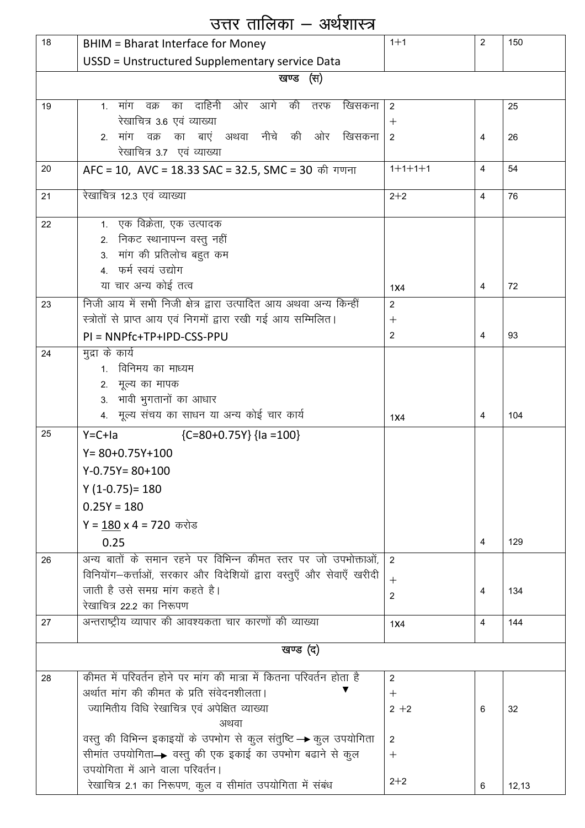## उत्तर तालिका – अर्थशास्त्र

| 18 | <b>BHIM = Bharat Interface for Money</b>                                                                                                                                                                                                                                                                                          | $1 + 1$                                       | $\overline{2}$ | 150         |
|----|-----------------------------------------------------------------------------------------------------------------------------------------------------------------------------------------------------------------------------------------------------------------------------------------------------------------------------------|-----------------------------------------------|----------------|-------------|
|    | USSD = Unstructured Supplementary service Data                                                                                                                                                                                                                                                                                    |                                               |                |             |
|    | खण्ड (स)                                                                                                                                                                                                                                                                                                                          |                                               |                |             |
|    | का दाहिनी ओर आगे की तरफ<br>खिसकना                                                                                                                                                                                                                                                                                                 |                                               |                |             |
| 19 | मांग वक्र<br>$1_{-}$<br>रेखाचित्र 3.6 एवं व्याख्या                                                                                                                                                                                                                                                                                | 2<br>$^{+}$                                   |                | 25          |
|    | 2. मांग वक्र का बाएं अथवा नीचे की ओर खिसकना                                                                                                                                                                                                                                                                                       | $\overline{2}$                                | 4              | 26          |
|    | रेखाचित्र 3.7 एवं व्याख्या                                                                                                                                                                                                                                                                                                        |                                               |                |             |
| 20 | AFC = 10, AVC = 18.33 SAC = 32.5, SMC = 30 की गणना                                                                                                                                                                                                                                                                                | $1+1+1+1$                                     | 4              | 54          |
|    |                                                                                                                                                                                                                                                                                                                                   |                                               |                |             |
| 21 | रेखाचित्र 12.3 एवं व्याख्या                                                                                                                                                                                                                                                                                                       | $2 + 2$                                       | 4              | 76          |
| 22 | 1. एक विक्रेता, एक उत्पादक                                                                                                                                                                                                                                                                                                        |                                               |                |             |
|    | 2. निकट स्थानापन्न वस्तु नहीं                                                                                                                                                                                                                                                                                                     |                                               |                |             |
|    | 3. मांग की प्रतिलोच बहुत कम                                                                                                                                                                                                                                                                                                       |                                               |                |             |
|    | 4. फर्म स्वयं उद्योग                                                                                                                                                                                                                                                                                                              |                                               |                |             |
|    | या चार अन्य कोई तत्व                                                                                                                                                                                                                                                                                                              | 1X <sub>4</sub>                               | 4              | 72          |
| 23 | निजी आय में सभी निजी क्षेत्र द्वारा उत्पादित आय अथवा अन्य किन्हीं                                                                                                                                                                                                                                                                 | $\overline{2}$                                |                |             |
|    | स्त्रोतों से प्राप्त आय एवं निगमों द्वारा रखी गई आय सम्मिलित।                                                                                                                                                                                                                                                                     | $^{+}$                                        |                |             |
|    | $PI = NNPfc+TP+IPD-CSS-PPU$                                                                                                                                                                                                                                                                                                       | 2                                             | 4              | 93          |
| 24 | मुद्रा के कार्य                                                                                                                                                                                                                                                                                                                   |                                               |                |             |
|    | 1. विनिमय का माध्यम                                                                                                                                                                                                                                                                                                               |                                               |                |             |
|    | 2. मूल्य का मापक                                                                                                                                                                                                                                                                                                                  |                                               |                |             |
|    | 3. भावी भुगतानों का आधार                                                                                                                                                                                                                                                                                                          |                                               |                |             |
|    | 4. मूल्य संचय का साधन या अन्य कोई चार कार्य                                                                                                                                                                                                                                                                                       | 1X <sub>4</sub>                               | 4              | 104         |
| 25 | $Y=C+Ia$<br>${C=80+0.75Y}$ {la =100}                                                                                                                                                                                                                                                                                              |                                               |                |             |
|    | $Y = 80 + 0.75Y + 100$                                                                                                                                                                                                                                                                                                            |                                               |                |             |
|    | $Y-0.75Y = 80+100$                                                                                                                                                                                                                                                                                                                |                                               |                |             |
|    | $Y(1-0.75) = 180$                                                                                                                                                                                                                                                                                                                 |                                               |                |             |
|    | $0.25Y = 180$                                                                                                                                                                                                                                                                                                                     |                                               |                |             |
|    | $Y = 180 \times 4 = 720$ करोड                                                                                                                                                                                                                                                                                                     |                                               |                |             |
|    | 0.25                                                                                                                                                                                                                                                                                                                              |                                               | 4              | 129         |
| 26 | अन्य बातों के समान रहने पर विभिन्न कीमत स्तर पर जो उपभोक्ताओं,                                                                                                                                                                                                                                                                    | 2                                             |                |             |
|    | विनियोंग-कर्त्ताओं, सरकार और विदेशियों द्वारा वस्तुएँ और सेवाएँ खरीदी                                                                                                                                                                                                                                                             | $\ddot{}$                                     |                |             |
|    | जाती है उसे समग्र मांग कहते है।                                                                                                                                                                                                                                                                                                   | $\overline{2}$                                | 4              | 134         |
|    | रेखाचित्र 22.2 का निरूपण                                                                                                                                                                                                                                                                                                          |                                               |                |             |
| 27 | अन्तराष्ट्रीय व्यापार की आवश्यकता चार कारणों की व्याख्या                                                                                                                                                                                                                                                                          | 1X4                                           | $\overline{4}$ | 144         |
|    | खण्ड (द)                                                                                                                                                                                                                                                                                                                          |                                               |                |             |
|    |                                                                                                                                                                                                                                                                                                                                   |                                               |                |             |
| 28 | कीमत में परिवर्तन होने पर मांग की मात्रा में कितना परिवर्तन होता है                                                                                                                                                                                                                                                               | $\overline{2}$                                |                |             |
|    |                                                                                                                                                                                                                                                                                                                                   |                                               |                |             |
|    |                                                                                                                                                                                                                                                                                                                                   |                                               |                |             |
|    |                                                                                                                                                                                                                                                                                                                                   |                                               |                |             |
|    |                                                                                                                                                                                                                                                                                                                                   |                                               |                |             |
|    |                                                                                                                                                                                                                                                                                                                                   |                                               |                |             |
|    |                                                                                                                                                                                                                                                                                                                                   | $2 + 2$                                       |                |             |
|    | अर्थात मांग की कीमत के प्रति संवेदनशीलता।<br>ज्यामितीय विधि रेखाचित्र एवं अपेक्षित व्याख्या<br>अथवा<br>वस्तु की विभिन्न इकाइयों के उपभोग से कुल संतुष्टि → कुल उपयोगिता<br>सीमांत उपयोगिता— वस्तु की एक इकाई का उपभोग बढाने से कुल<br>उपयोगिता में आने वाला परिवर्तन।<br>रेखाचित्र 2.1 का निरूपण, कुल व सीमांत उपयोगिता में संबंध | $^{+}$<br>$2 + 2$<br>$\overline{2}$<br>$^{+}$ | 6<br>6         | 32<br>12,13 |